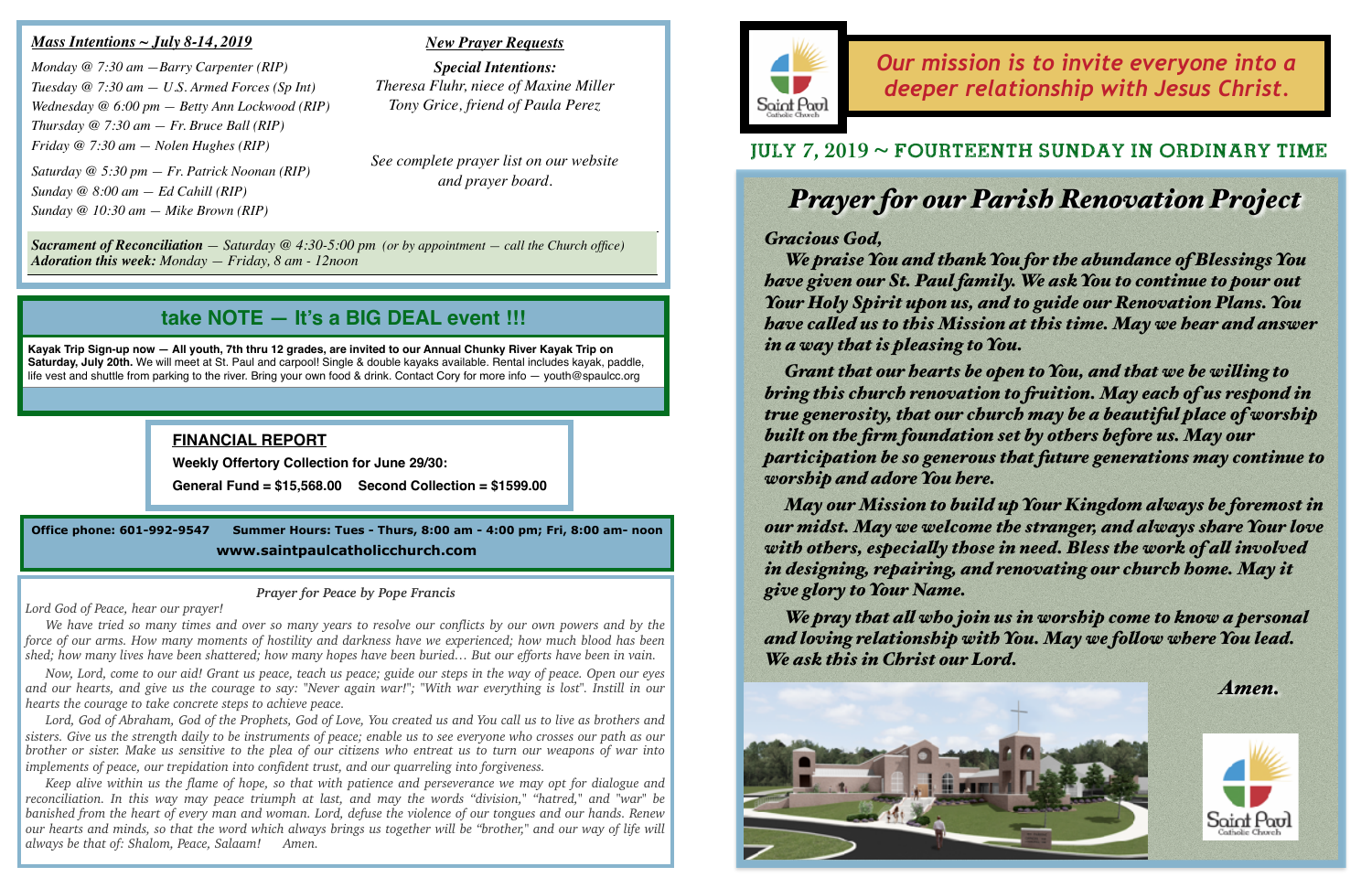## **take NOTE — It's a BIG DEAL event !!!**

**Kayak Trip Sign-up now — All youth, 7th thru 12 grades, are invited to our Annual Chunky River Kayak Trip on Saturday, July 20th.** We will meet at St. Paul and carpool! Single & double kayaks available. Rental includes kayak, paddle, life vest and shuttle from parking to the river. Bring your own food & drink. Contact Cory for more info — youth@spaulcc.org

## *Our mission is to invite everyone into a deeper relationship with Jesus Christ.*

### *Mass Intentions ~ July 8-14, 2019*

*Monday @ 7:30 am —Barry Carpenter (RIP) Tuesday @ 7:30 am — U.S. Armed Forces (Sp Int) Wednesday @ 6:00 pm — Betty Ann Lockwood (RIP) Thursday @ 7:30 am — Fr. Bruce Ball (RIP) Friday @ 7:30 am — Nolen Hughes (RIP) Saturday @ 5:30 pm — Fr. Patrick Noonan (RIP) Sunday @ 8:00 am — Ed Cahill (RIP)*

*Sunday @ 10:30 am — Mike Brown (RIP)*

### *New Prayer Requests*

*Special Intentions: Theresa Fluhr, niece of Maxine Miller Tony Grice, friend of Paula Perez*

*See complete prayer list on our website and prayer board.*

**Office phone: 601-992-9547 Summer Hours: Tues - Thurs, 8:00 am - 4:00 pm; Fri, 8:00 am- noon www.saintpaulcatholicchurch.com**

### **FINANCIAL REPORT**

**Weekly Offertory Collection for June 29/30:** 

**General Fund = \$15,568.00 Second Collection = \$1599.00** 

## July **7, 2019** ~ Fourteenth Sunday in Ordinary Time

## *Prayer for our Parish Renovation Project*

*Gracious God,*

*We praise You and thank You for the abundance of Blessings You have given our St. Paul family. We ask You to continue to pour out Your Holy Spirit upon us, and to guide our Renovation Plans. You have caled us to this Mission at this time. May we hear and answer in a way that is pleasing to You.*

*Grant that our hearts be open to You, and that we be wiling to bring this church renovation to fuition. May each of us respond in true generosity, that our church may be a beautiful place of worship built on the firm foundation set by others before us. May our participation be so generous that future generations may continue to worship and adore You here.*

Lord, God of Abraham, God of the Prophets, God of Love, You created us and You call us to live as brothers and *sisters. Give us the strength daily to be instruments of peace; enable us to see everyone who crosses our path as our brother or sister. Make us sensitive to the plea of our citizens who entreat us to turn our weapons of war into implements of peace, our trepidation into confident trust, and our quarreling into forgiveness.* 

*May our Mission to build up Your Kingdom always be foremost in our midst. May we welcome the stranger, and always share Your love with others, especialy those in need. Bless the work of al involved in designing, repairing, and renovating our church home. May it give glory to Your Name.* 

*We pray that al who join us in worship come to know a personal and loving relationship with You. May we folow where You lead. We ask this in Christ our Lord.*







*Sacrament of Reconciliation — Saturday @ 4:30-5:00 pm (or by appointment — call the Church office) Adoration this week: Monday — Friday, 8 am - 12noon*

#### *Prayer for Peace by Pope Francis*

*Lord God of Peace, hear our prayer!* 

*We have tried so many times and over so many years to resolve our conflicts by our own powers and by the force of our arms. How many moments of hostility and darkness have we experienced; how much blood has been shed; how many lives have been shattered; how many hopes have been buried… But our efforts have been in vain.* 

*Now, Lord, come to our aid! Grant us peace, teach us peace; guide our steps in the way of peace. Open our eyes and our hearts, and give us the courage to say: "Never again war!"; "With war everything is lost". Instill in our hearts the courage to take concrete steps to achieve peace.* 

*Keep alive within us the flame of hope, so that with patience and perseverance we may opt for dialogue and reconciliation. In this way may peace triumph at last, and may the words "division," "hatred," and "war" be banished from the heart of every man and woman. Lord, defuse the violence of our tongues and our hands. Renew our hearts and minds, so that the word which always brings us together will be "brother," and our way of life will always be that of: Shalom, Peace, Salaam! Amen.*